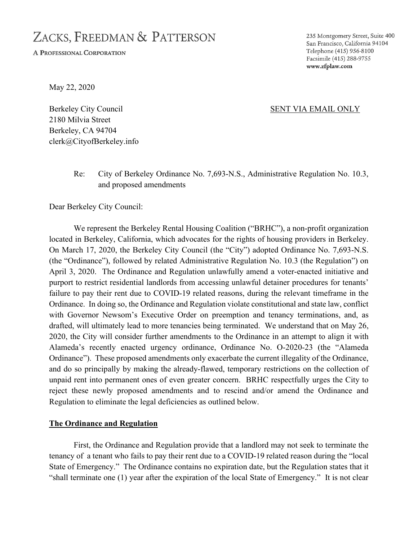# ZACKS, FREEDMAN & PATTERSON

A PROFESSIONAL CORPORATION

235 Montgomery Street, Suite 400 San Francisco, California 94104 Telephone (415) 956-8100 Facsimile (415) 288-9755 www.zfplaw.com

May 22, 2020

Berkeley City Council SENT VIA EMAIL ONLY 2180 Milvia Street Berkeley, CA 94704 clerk@CityofBerkeley.info

# Re: City of Berkeley Ordinance No. 7,693-N.S., Administrative Regulation No. 10.3, and proposed amendments

Dear Berkeley City Council:

We represent the Berkeley Rental Housing Coalition ("BRHC"), a non-profit organization located in Berkeley, California, which advocates for the rights of housing providers in Berkeley. On March 17, 2020, the Berkeley City Council (the "City") adopted Ordinance No. 7,693-N.S. (the "Ordinance"), followed by related Administrative Regulation No. 10.3 (the Regulation") on April 3, 2020. The Ordinance and Regulation unlawfully amend a voter-enacted initiative and purport to restrict residential landlords from accessing unlawful detainer procedures for tenants' failure to pay their rent due to COVID-19 related reasons, during the relevant timeframe in the Ordinance. In doing so, the Ordinance and Regulation violate constitutional and state law, conflict with Governor Newsom's Executive Order on preemption and tenancy terminations, and, as drafted, will ultimately lead to more tenancies being terminated. We understand that on May 26, 2020, the City will consider further amendments to the Ordinance in an attempt to align it with Alameda's recently enacted urgency ordinance, Ordinance No. O-2020-23 (the "Alameda Ordinance"). These proposed amendments only exacerbate the current illegality of the Ordinance, and do so principally by making the already-flawed, temporary restrictions on the collection of unpaid rent into permanent ones of even greater concern. BRHC respectfully urges the City to reject these newly proposed amendments and to rescind and/or amend the Ordinance and Regulation to eliminate the legal deficiencies as outlined below.

#### **The Ordinance and Regulation**

First, the Ordinance and Regulation provide that a landlord may not seek to terminate the tenancy of a tenant who fails to pay their rent due to a COVID-19 related reason during the "local State of Emergency." The Ordinance contains no expiration date, but the Regulation states that it "shall terminate one (1) year after the expiration of the local State of Emergency." It is not clear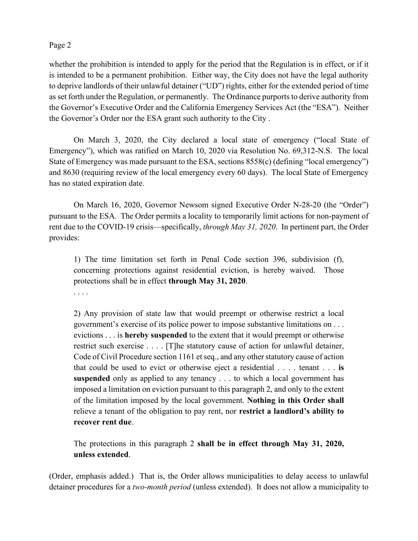whether the prohibition is intended to apply for the period that the Regulation is in effect, or if it is intended to be a permanent prohibition. Either way, the City does not have the legal authority to deprive landlords of their unlawful detainer ("UD") rights, either for the extended period of time as set forth under the Regulation, or permanently. The Ordinance purports to derive authority from the Governor's Executive Order and the California Emergency Services Act (the "ESA"). Neither the Governor's Order nor the ESA grant such authority to the City .

On March 3, 2020, the City declared a local state of emergency ("local State of Emergency"), which was ratified on March 10, 2020 via Resolution No. 69,312-N.S. The local State of Emergency was made pursuant to the ESA, sections 8558(c) (defining "local emergency") and 8630 (requiring review of the local emergency every 60 days). The local State of Emergency has no stated expiration date.

On March 16, 2020, Governor Newsom signed Executive Order N-28-20 (the "Order") pursuant to the ESA. The Order permits a locality to temporarily limit actions for non-payment of rent due to the COVID-19 crisis—specifically, *through May 31, 2020*. In pertinent part, the Order provides:

1) The time limitation set forth in Penal Code section 396, subdivision (f), concerning protections against residential eviction, is hereby waived. Those protections shall be in effect **through May 31, 2020**.

. . . .

2) Any provision of state law that would preempt or otherwise restrict a local government's exercise of its police power to impose substantive limitations on . . . evictions . . . is **hereby suspended** to the extent that it would preempt or otherwise restrict such exercise . . . . [T]he statutory cause of action for unlawful detainer, Code of Civil Procedure section 1161 et seq., and any other statutory cause of action that could be used to evict or otherwise eject a residential . . . . tenant . . . **is suspended** only as applied to any tenancy . . . to which a local government has imposed a limitation on eviction pursuant to this paragraph 2, and only to the extent of the limitation imposed by the local government. **Nothing in this Order shall**  relieve a tenant of the obligation to pay rent, nor **restrict a landlord's ability to recover rent due**.

The protections in this paragraph 2 **shall be in effect through May 31, 2020, unless extended**.

(Order, emphasis added.) That is, the Order allows municipalities to delay access to unlawful detainer procedures for a *two-month period* (unless extended). It does not allow a municipality to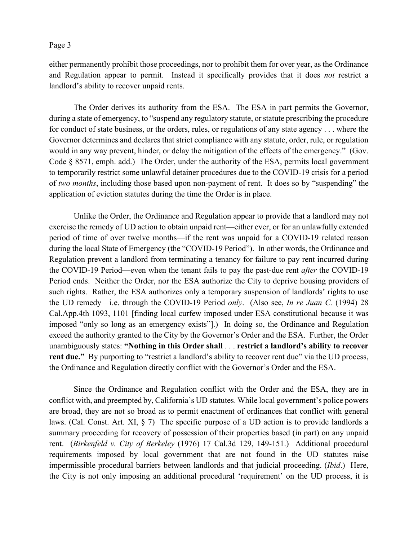either permanently prohibit those proceedings, nor to prohibit them for over year, as the Ordinance and Regulation appear to permit. Instead it specifically provides that it does *not* restrict a landlord's ability to recover unpaid rents.

The Order derives its authority from the ESA. The ESA in part permits the Governor, during a state of emergency, to "suspend any regulatory statute, or statute prescribing the procedure for conduct of state business, or the orders, rules, or regulations of any state agency . . . where the Governor determines and declares that strict compliance with any statute, order, rule, or regulation would in any way prevent, hinder, or delay the mitigation of the effects of the emergency." (Gov. Code § 8571, emph. add.) The Order, under the authority of the ESA, permits local government to temporarily restrict some unlawful detainer procedures due to the COVID-19 crisis for a period of *two months*, including those based upon non-payment of rent. It does so by "suspending" the application of eviction statutes during the time the Order is in place.

Unlike the Order, the Ordinance and Regulation appear to provide that a landlord may not exercise the remedy of UD action to obtain unpaid rent—either ever, or for an unlawfully extended period of time of over twelve months—if the rent was unpaid for a COVID-19 related reason during the local State of Emergency (the "COVID-19 Period"). In other words, the Ordinance and Regulation prevent a landlord from terminating a tenancy for failure to pay rent incurred during the COVID-19 Period—even when the tenant fails to pay the past-due rent *after* the COVID-19 Period ends. Neither the Order, nor the ESA authorize the City to deprive housing providers of such rights. Rather, the ESA authorizes only a temporary suspension of landlords' rights to use the UD remedy—i.e. through the COVID-19 Period *only*. (Also see, *In re Juan C.* (1994) 28 Cal.App.4th 1093, 1101 [finding local curfew imposed under ESA constitutional because it was imposed "only so long as an emergency exists"].) In doing so, the Ordinance and Regulation exceed the authority granted to the City by the Governor's Order and the ESA. Further, the Order unambiguously states: **"Nothing in this Order shall** . . . **restrict a landlord's ability to recover**  rent due." By purporting to "restrict a landlord's ability to recover rent due" via the UD process, the Ordinance and Regulation directly conflict with the Governor's Order and the ESA.

Since the Ordinance and Regulation conflict with the Order and the ESA, they are in conflict with, and preempted by, California's UD statutes. While local government's police powers are broad, they are not so broad as to permit enactment of ordinances that conflict with general laws. (Cal. Const. Art. XI, § 7) The specific purpose of a UD action is to provide landlords a summary proceeding for recovery of possession of their properties based (in part) on any unpaid rent. (*Birkenfeld v. City of Berkeley* (1976) 17 Cal.3d 129, 149-151.) Additional procedural requirements imposed by local government that are not found in the UD statutes raise impermissible procedural barriers between landlords and that judicial proceeding. (*Ibid*.) Here, the City is not only imposing an additional procedural 'requirement' on the UD process, it is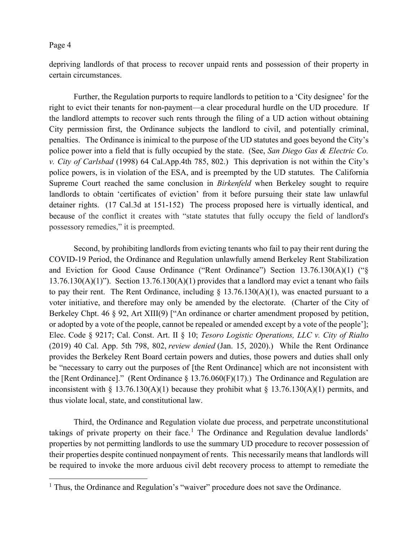depriving landlords of that process to recover unpaid rents and possession of their property in certain circumstances.

Further, the Regulation purports to require landlords to petition to a 'City designee' for the right to evict their tenants for non-payment—a clear procedural hurdle on the UD procedure. If the landlord attempts to recover such rents through the filing of a UD action without obtaining City permission first, the Ordinance subjects the landlord to civil, and potentially criminal, penalties. The Ordinance is inimical to the purpose of the UD statutes and goes beyond the City's police power into a field that is fully occupied by the state. (See, *San Diego Gas & Electric Co. v. City of Carlsbad* (1998) 64 Cal.App.4th 785, 802.) This deprivation is not within the City's police powers, is in violation of the ESA, and is preempted by the UD statutes. The California Supreme Court reached the same conclusion in *Birkenfeld* when Berkeley sought to require landlords to obtain 'certificates of eviction' from it before pursuing their state law unlawful detainer rights. (17 Cal.3d at 151-152) The process proposed here is virtually identical, and because of the conflict it creates with "state statutes that fully occupy the field of landlord's possessory remedies," it is preempted.

Second, by prohibiting landlords from evicting tenants who fail to pay their rent during the COVID-19 Period, the Ordinance and Regulation unlawfully amend Berkeley Rent Stabilization and Eviction for Good Cause Ordinance ("Rent Ordinance") Section 13.76.130(A)(1) ("§  $13.76.130(A)(1)$ "). Section  $13.76.130(A)(1)$  provides that a landlord may evict a tenant who fails to pay their rent. The Rent Ordinance, including  $\S$  13.76.130(A)(1), was enacted pursuant to a voter initiative, and therefore may only be amended by the electorate. (Charter of the City of Berkeley Chpt. 46 § 92, Art XIII(9) ["An ordinance or charter amendment proposed by petition, or adopted by a vote of the people, cannot be repealed or amended except by a vote of the people']; Elec. Code § 9217; Cal. Const. Art. II § 10; *Tesoro Logistic Operations, LLC v. City of Rialto* (2019) 40 Cal. App. 5th 798, 802, *review denied* (Jan. 15, 2020).) While the Rent Ordinance provides the Berkeley Rent Board certain powers and duties, those powers and duties shall only be "necessary to carry out the purposes of [the Rent Ordinance] which are not inconsistent with the [Rent Ordinance]." (Rent Ordinance § 13.76.060(F)(17).) The Ordinance and Regulation are inconsistent with § 13.76.130(A)(1) because they prohibit what § 13.76.130(A)(1) permits, and thus violate local, state, and constitutional law.

Third, the Ordinance and Regulation violate due process, and perpetrate unconstitutional takings of private property on their face.<sup>[1](#page-3-0)</sup> The Ordinance and Regulation devalue landlords' properties by not permitting landlords to use the summary UD procedure to recover possession of their properties despite continued nonpayment of rents. This necessarily means that landlords will be required to invoke the more arduous civil debt recovery process to attempt to remediate the

<span id="page-3-0"></span><sup>&</sup>lt;sup>1</sup> Thus, the Ordinance and Regulation's "waiver" procedure does not save the Ordinance.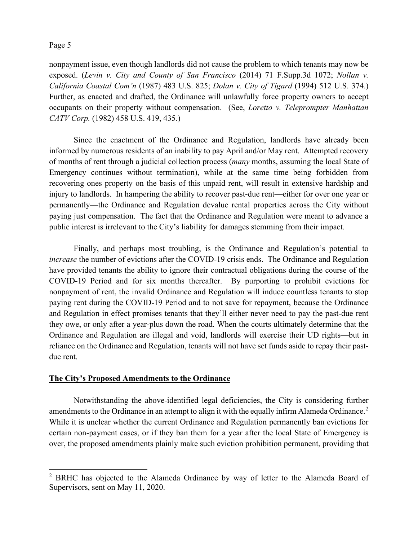nonpayment issue, even though landlords did not cause the problem to which tenants may now be exposed. (*Levin v. City and County of San Francisco* (2014) 71 F.Supp.3d 1072; *Nollan v. California Coastal Com'n* (1987) 483 U.S. 825; *Dolan v. City of Tigard* (1994) 512 U.S. 374.) Further, as enacted and drafted, the Ordinance will unlawfully force property owners to accept occupants on their property without compensation. (See, *Loretto v. Teleprompter Manhattan CATV Corp.* (1982) 458 U.S. 419, 435.)

Since the enactment of the Ordinance and Regulation, landlords have already been informed by numerous residents of an inability to pay April and/or May rent. Attempted recovery of months of rent through a judicial collection process (*many* months, assuming the local State of Emergency continues without termination), while at the same time being forbidden from recovering ones property on the basis of this unpaid rent, will result in extensive hardship and injury to landlords. In hampering the ability to recover past-due rent—either for over one year or permanently—the Ordinance and Regulation devalue rental properties across the City without paying just compensation. The fact that the Ordinance and Regulation were meant to advance a public interest is irrelevant to the City's liability for damages stemming from their impact.

Finally, and perhaps most troubling, is the Ordinance and Regulation's potential to *increase* the number of evictions after the COVID-19 crisis ends. The Ordinance and Regulation have provided tenants the ability to ignore their contractual obligations during the course of the COVID-19 Period and for six months thereafter. By purporting to prohibit evictions for nonpayment of rent, the invalid Ordinance and Regulation will induce countless tenants to stop paying rent during the COVID-19 Period and to not save for repayment, because the Ordinance and Regulation in effect promises tenants that they'll either never need to pay the past-due rent they owe, or only after a year-plus down the road. When the courts ultimately determine that the Ordinance and Regulation are illegal and void, landlords will exercise their UD rights—but in reliance on the Ordinance and Regulation, tenants will not have set funds aside to repay their pastdue rent.

#### **The City's Proposed Amendments to the Ordinance**

Notwithstanding the above-identified legal deficiencies, the City is considering further amendments to the Ordinance in an attempt to align it with the equally infirm Alameda Ordinance.<sup>[2](#page-4-0)</sup> While it is unclear whether the current Ordinance and Regulation permanently ban evictions for certain non-payment cases, or if they ban them for a year after the local State of Emergency is over, the proposed amendments plainly make such eviction prohibition permanent, providing that

<span id="page-4-0"></span><sup>&</sup>lt;sup>2</sup> BRHC has objected to the Alameda Ordinance by way of letter to the Alameda Board of Supervisors, sent on May 11, 2020.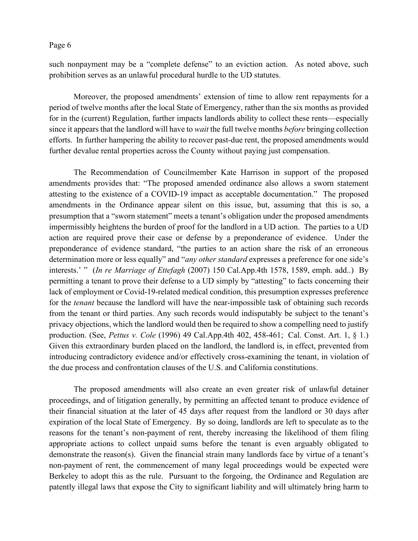such nonpayment may be a "complete defense" to an eviction action. As noted above, such prohibition serves as an unlawful procedural hurdle to the UD statutes.

Moreover, the proposed amendments' extension of time to allow rent repayments for a period of twelve months after the local State of Emergency, rather than the six months as provided for in the (current) Regulation, further impacts landlords ability to collect these rents—especially since it appears that the landlord will have to *wait* the full twelve months *before* bringing collection efforts. In further hampering the ability to recover past-due rent, the proposed amendments would further devalue rental properties across the County without paying just compensation.

The Recommendation of Councilmember Kate Harrison in support of the proposed amendments provides that: "The proposed amended ordinance also allows a sworn statement attesting to the existence of a COVID-19 impact as acceptable documentation." The proposed amendments in the Ordinance appear silent on this issue, but, assuming that this is so, a presumption that a "sworn statement" meets a tenant's obligation under the proposed amendments impermissibly heightens the burden of proof for the landlord in a UD action. The parties to a UD action are required prove their case or defense by a preponderance of evidence. Under the preponderance of evidence standard, "the parties to an action share the risk of an erroneous determination more or less equally" and "*any other standard* expresses a preference for one side's interests.' " (*In re Marriage of Ettefagh* (2007) 150 Cal.App.4th 1578, 1589, emph. add..) By permitting a tenant to prove their defense to a UD simply by "attesting" to facts concerning their lack of employment or Covid-19-related medical condition, this presumption expresses preference for the *tenant* because the landlord will have the near-impossible task of obtaining such records from the tenant or third parties. Any such records would indisputably be subject to the tenant's privacy objections, which the landlord would then be required to show a compelling need to justify production. (See, *Pettus v. Cole* (1996) 49 Cal.App.4th 402, 458-461; Cal. Const. Art. 1, § 1.) Given this extraordinary burden placed on the landlord, the landlord is, in effect, prevented from introducing contradictory evidence and/or effectively cross-examining the tenant, in violation of the due process and confrontation clauses of the U.S. and California constitutions.

The proposed amendments will also create an even greater risk of unlawful detainer proceedings, and of litigation generally, by permitting an affected tenant to produce evidence of their financial situation at the later of 45 days after request from the landlord or 30 days after expiration of the local State of Emergency. By so doing, landlords are left to speculate as to the reasons for the tenant's non-payment of rent, thereby increasing the likelihood of them filing appropriate actions to collect unpaid sums before the tenant is even arguably obligated to demonstrate the reason(s). Given the financial strain many landlords face by virtue of a tenant's non-payment of rent, the commencement of many legal proceedings would be expected were Berkeley to adopt this as the rule. Pursuant to the forgoing, the Ordinance and Regulation are patently illegal laws that expose the City to significant liability and will ultimately bring harm to